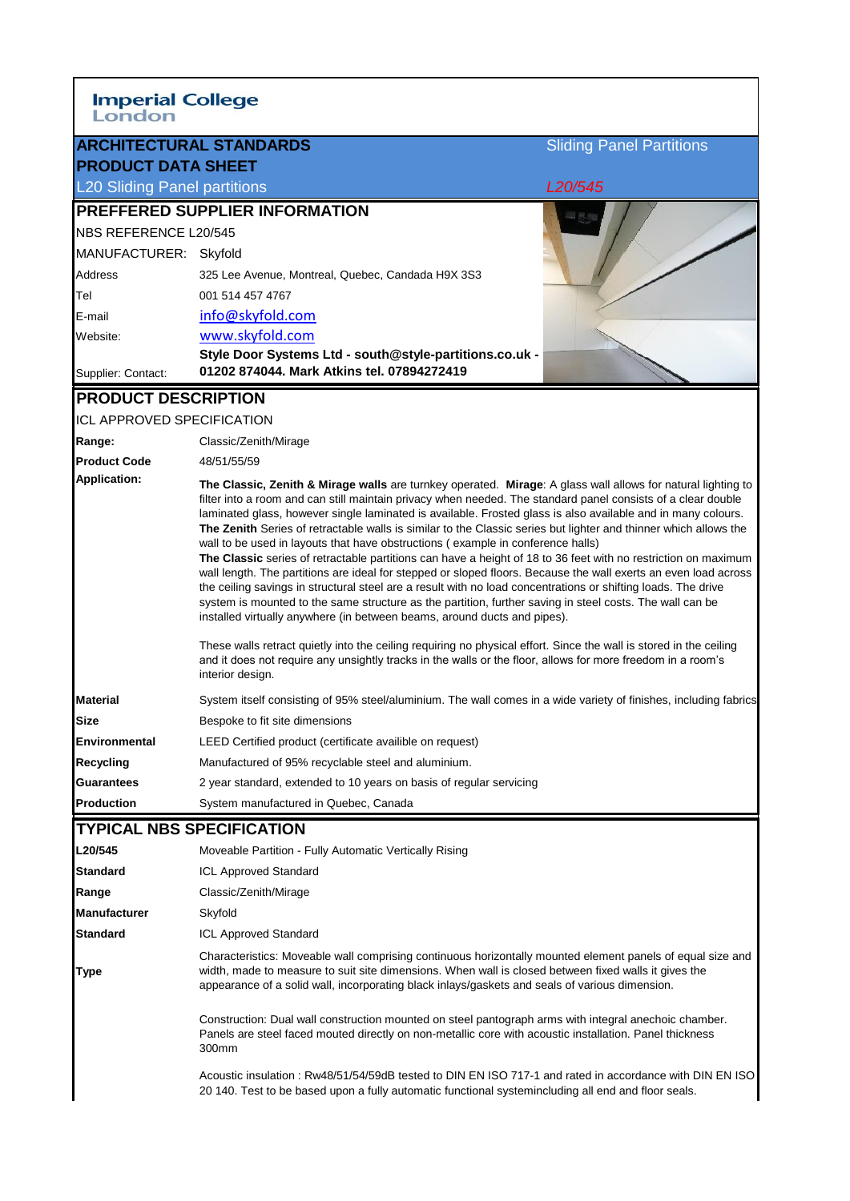| <b>Imperial College</b><br>London        |                                                                                                                                                                                                                                                                                                                                                                                                                                                                                                                                                                                                                                                                                                                                                                                                                                                                                                                                                                                                                                                                                                                                                                                                                                                                                                                                        |                                 |
|------------------------------------------|----------------------------------------------------------------------------------------------------------------------------------------------------------------------------------------------------------------------------------------------------------------------------------------------------------------------------------------------------------------------------------------------------------------------------------------------------------------------------------------------------------------------------------------------------------------------------------------------------------------------------------------------------------------------------------------------------------------------------------------------------------------------------------------------------------------------------------------------------------------------------------------------------------------------------------------------------------------------------------------------------------------------------------------------------------------------------------------------------------------------------------------------------------------------------------------------------------------------------------------------------------------------------------------------------------------------------------------|---------------------------------|
|                                          | <b>ARCHITECTURAL STANDARDS</b>                                                                                                                                                                                                                                                                                                                                                                                                                                                                                                                                                                                                                                                                                                                                                                                                                                                                                                                                                                                                                                                                                                                                                                                                                                                                                                         | <b>Sliding Panel Partitions</b> |
| <b>PRODUCT DATA SHEET</b>                |                                                                                                                                                                                                                                                                                                                                                                                                                                                                                                                                                                                                                                                                                                                                                                                                                                                                                                                                                                                                                                                                                                                                                                                                                                                                                                                                        |                                 |
| <b>L20 Sliding Panel partitions</b>      |                                                                                                                                                                                                                                                                                                                                                                                                                                                                                                                                                                                                                                                                                                                                                                                                                                                                                                                                                                                                                                                                                                                                                                                                                                                                                                                                        | L <sub>20</sub> /545            |
|                                          | <b>PREFFERED SUPPLIER INFORMATION</b>                                                                                                                                                                                                                                                                                                                                                                                                                                                                                                                                                                                                                                                                                                                                                                                                                                                                                                                                                                                                                                                                                                                                                                                                                                                                                                  |                                 |
| NBS REFERENCE L20/545                    |                                                                                                                                                                                                                                                                                                                                                                                                                                                                                                                                                                                                                                                                                                                                                                                                                                                                                                                                                                                                                                                                                                                                                                                                                                                                                                                                        |                                 |
| MANUFACTURER: Skyfold                    |                                                                                                                                                                                                                                                                                                                                                                                                                                                                                                                                                                                                                                                                                                                                                                                                                                                                                                                                                                                                                                                                                                                                                                                                                                                                                                                                        |                                 |
| <b>Address</b>                           | 325 Lee Avenue, Montreal, Quebec, Candada H9X 3S3                                                                                                                                                                                                                                                                                                                                                                                                                                                                                                                                                                                                                                                                                                                                                                                                                                                                                                                                                                                                                                                                                                                                                                                                                                                                                      |                                 |
| Tel                                      | 001 514 457 4767                                                                                                                                                                                                                                                                                                                                                                                                                                                                                                                                                                                                                                                                                                                                                                                                                                                                                                                                                                                                                                                                                                                                                                                                                                                                                                                       |                                 |
| E-mail                                   | info@skyfold.com                                                                                                                                                                                                                                                                                                                                                                                                                                                                                                                                                                                                                                                                                                                                                                                                                                                                                                                                                                                                                                                                                                                                                                                                                                                                                                                       |                                 |
| Website:                                 | www.skyfold.com                                                                                                                                                                                                                                                                                                                                                                                                                                                                                                                                                                                                                                                                                                                                                                                                                                                                                                                                                                                                                                                                                                                                                                                                                                                                                                                        |                                 |
| Supplier: Contact:                       | Style Door Systems Ltd - south@style-partitions.co.uk -<br>01202 874044. Mark Atkins tel. 07894272419                                                                                                                                                                                                                                                                                                                                                                                                                                                                                                                                                                                                                                                                                                                                                                                                                                                                                                                                                                                                                                                                                                                                                                                                                                  |                                 |
| <b>PRODUCT DESCRIPTION</b>               |                                                                                                                                                                                                                                                                                                                                                                                                                                                                                                                                                                                                                                                                                                                                                                                                                                                                                                                                                                                                                                                                                                                                                                                                                                                                                                                                        |                                 |
| ICL APPROVED SPECIFICATION               |                                                                                                                                                                                                                                                                                                                                                                                                                                                                                                                                                                                                                                                                                                                                                                                                                                                                                                                                                                                                                                                                                                                                                                                                                                                                                                                                        |                                 |
| Range:                                   | Classic/Zenith/Mirage                                                                                                                                                                                                                                                                                                                                                                                                                                                                                                                                                                                                                                                                                                                                                                                                                                                                                                                                                                                                                                                                                                                                                                                                                                                                                                                  |                                 |
| <b>Product Code</b>                      | 48/51/55/59                                                                                                                                                                                                                                                                                                                                                                                                                                                                                                                                                                                                                                                                                                                                                                                                                                                                                                                                                                                                                                                                                                                                                                                                                                                                                                                            |                                 |
| Application:                             | The Classic, Zenith & Mirage walls are turnkey operated. Mirage: A glass wall allows for natural lighting to<br>filter into a room and can still maintain privacy when needed. The standard panel consists of a clear double<br>laminated glass, however single laminated is available. Frosted glass is also available and in many colours.<br>The Zenith Series of retractable walls is similar to the Classic series but lighter and thinner which allows the<br>wall to be used in layouts that have obstructions (example in conference halls)<br>The Classic series of retractable partitions can have a height of 18 to 36 feet with no restriction on maximum<br>wall length. The partitions are ideal for stepped or sloped floors. Because the wall exerts an even load across<br>the ceiling savings in structural steel are a result with no load concentrations or shifting loads. The drive<br>system is mounted to the same structure as the partition, further saving in steel costs. The wall can be<br>installed virtually anywhere (in between beams, around ducts and pipes).<br>These walls retract quietly into the ceiling requiring no physical effort. Since the wall is stored in the ceiling<br>and it does not require any unsightly tracks in the walls or the floor, allows for more freedom in a room's |                                 |
|                                          | interior design.                                                                                                                                                                                                                                                                                                                                                                                                                                                                                                                                                                                                                                                                                                                                                                                                                                                                                                                                                                                                                                                                                                                                                                                                                                                                                                                       |                                 |
| <b>Material</b>                          | System itself consisting of 95% steel/aluminium. The wall comes in a wide variety of finishes, including fabrics                                                                                                                                                                                                                                                                                                                                                                                                                                                                                                                                                                                                                                                                                                                                                                                                                                                                                                                                                                                                                                                                                                                                                                                                                       |                                 |
| <b>Size</b>                              | Bespoke to fit site dimensions                                                                                                                                                                                                                                                                                                                                                                                                                                                                                                                                                                                                                                                                                                                                                                                                                                                                                                                                                                                                                                                                                                                                                                                                                                                                                                         |                                 |
| <b>Environmental</b><br><b>Recycling</b> | LEED Certified product (certificate availible on request)<br>Manufactured of 95% recyclable steel and aluminium.                                                                                                                                                                                                                                                                                                                                                                                                                                                                                                                                                                                                                                                                                                                                                                                                                                                                                                                                                                                                                                                                                                                                                                                                                       |                                 |
| <b>Guarantees</b>                        | 2 year standard, extended to 10 years on basis of regular servicing                                                                                                                                                                                                                                                                                                                                                                                                                                                                                                                                                                                                                                                                                                                                                                                                                                                                                                                                                                                                                                                                                                                                                                                                                                                                    |                                 |
| <b>Production</b>                        | System manufactured in Quebec, Canada                                                                                                                                                                                                                                                                                                                                                                                                                                                                                                                                                                                                                                                                                                                                                                                                                                                                                                                                                                                                                                                                                                                                                                                                                                                                                                  |                                 |
| <b>TYPICAL NBS SPECIFICATION</b>         |                                                                                                                                                                                                                                                                                                                                                                                                                                                                                                                                                                                                                                                                                                                                                                                                                                                                                                                                                                                                                                                                                                                                                                                                                                                                                                                                        |                                 |
| L20/545                                  | Moveable Partition - Fully Automatic Vertically Rising                                                                                                                                                                                                                                                                                                                                                                                                                                                                                                                                                                                                                                                                                                                                                                                                                                                                                                                                                                                                                                                                                                                                                                                                                                                                                 |                                 |
| <b>Standard</b>                          | <b>ICL Approved Standard</b>                                                                                                                                                                                                                                                                                                                                                                                                                                                                                                                                                                                                                                                                                                                                                                                                                                                                                                                                                                                                                                                                                                                                                                                                                                                                                                           |                                 |
| Range                                    | Classic/Zenith/Mirage                                                                                                                                                                                                                                                                                                                                                                                                                                                                                                                                                                                                                                                                                                                                                                                                                                                                                                                                                                                                                                                                                                                                                                                                                                                                                                                  |                                 |
| <b>Manufacturer</b>                      | Skyfold                                                                                                                                                                                                                                                                                                                                                                                                                                                                                                                                                                                                                                                                                                                                                                                                                                                                                                                                                                                                                                                                                                                                                                                                                                                                                                                                |                                 |
| <b>Standard</b>                          | <b>ICL Approved Standard</b>                                                                                                                                                                                                                                                                                                                                                                                                                                                                                                                                                                                                                                                                                                                                                                                                                                                                                                                                                                                                                                                                                                                                                                                                                                                                                                           |                                 |
| <b>Type</b>                              | Characteristics: Moveable wall comprising continuous horizontally mounted element panels of equal size and<br>width, made to measure to suit site dimensions. When wall is closed between fixed walls it gives the<br>appearance of a solid wall, incorporating black inlays/gaskets and seals of various dimension.                                                                                                                                                                                                                                                                                                                                                                                                                                                                                                                                                                                                                                                                                                                                                                                                                                                                                                                                                                                                                   |                                 |

Construction: Dual wall construction mounted on steel pantograph arms with integral anechoic chamber. Panels are steel faced mouted directly on non-metallic core with acoustic installation. Panel thickness 300mm

Acoustic insulation : Rw48/51/54/59dB tested to DIN EN ISO 717-1 and rated in accordance with DIN EN ISO 20 140. Test to be based upon a fully automatic functional systemincluding all end and floor seals.